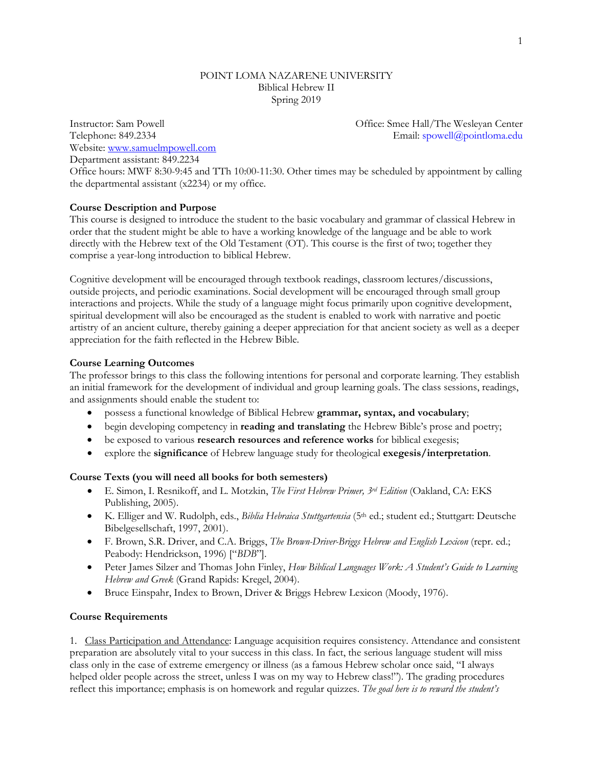### POINT LOMA NAZARENE UNIVERSITY Biblical Hebrew II Spring 2019

Website: [www.samuelmpowell.com](http://www.samuelmpowell.com/) Department assistant: 849.2234

Instructor: Sam Powell Office: Smee Hall/The Wesleyan Center Telephone: 849.2334 Email: [spowell@pointloma.edu](mailto:spowell@ptloma.edu)

Office hours: MWF 8:30-9:45 and TTh 10:00-11:30. Other times may be scheduled by appointment by calling the departmental assistant (x2234) or my office.

#### **Course Description and Purpose**

This course is designed to introduce the student to the basic vocabulary and grammar of classical Hebrew in order that the student might be able to have a working knowledge of the language and be able to work directly with the Hebrew text of the Old Testament (OT). This course is the first of two; together they comprise a year-long introduction to biblical Hebrew.

Cognitive development will be encouraged through textbook readings, classroom lectures/discussions, outside projects, and periodic examinations. Social development will be encouraged through small group interactions and projects. While the study of a language might focus primarily upon cognitive development, spiritual development will also be encouraged as the student is enabled to work with narrative and poetic artistry of an ancient culture, thereby gaining a deeper appreciation for that ancient society as well as a deeper appreciation for the faith reflected in the Hebrew Bible.

#### **Course Learning Outcomes**

The professor brings to this class the following intentions for personal and corporate learning. They establish an initial framework for the development of individual and group learning goals. The class sessions, readings, and assignments should enable the student to:

- possess a functional knowledge of Biblical Hebrew **grammar, syntax, and vocabulary**;
- begin developing competency in **reading and translating** the Hebrew Bible's prose and poetry;
- be exposed to various **research resources and reference works** for biblical exegesis;
- explore the **significance** of Hebrew language study for theological **exegesis/interpretation**.

#### **Course Texts (you will need all books for both semesters)**

- E. Simon, I. Resnikoff, and L. Motzkin, *The First Hebrew Primer, 3rd Edition* (Oakland, CA: EKS Publishing, 2005).
- K. Elliger and W. Rudolph, eds., *Biblia Hebraica Stuttgartensia* (5th ed.; student ed.; Stuttgart: Deutsche Bibelgesellschaft, 1997, 2001).
- F. Brown, S.R. Driver, and C.A. Briggs, *The Brown-Driver-Briggs Hebrew and English Lexicon* (repr. ed.; Peabody: Hendrickson, 1996) ["*BDB*"].
- Peter James Silzer and Thomas John Finley, *How Biblical Languages Work: A Student's Guide to Learning Hebrew and Greek* (Grand Rapids: Kregel, 2004).
- Bruce Einspahr, Index to Brown, Driver & Briggs Hebrew Lexicon (Moody, 1976).

#### **Course Requirements**

1. Class Participation and Attendance: Language acquisition requires consistency. Attendance and consistent preparation are absolutely vital to your success in this class. In fact, the serious language student will miss class only in the case of extreme emergency or illness (as a famous Hebrew scholar once said, "I always helped older people across the street, unless I was on my way to Hebrew class!"). The grading procedures reflect this importance; emphasis is on homework and regular quizzes. *The goal here is to reward the student's*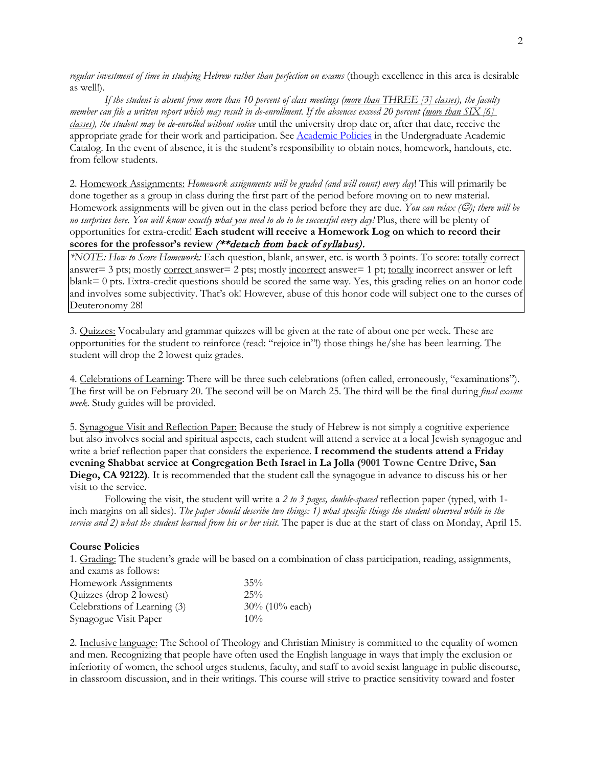*regular investment of time in studying Hebrew rather than perfection on exams* (though excellence in this area is desirable as well!).

*If the student is absent from more than 10 percent of class meetings (more than THREE [3] classes), the faculty member can file a written report which may result in de-enrollment. If the absences exceed 20 percent (more than SIX [6] classes), the student may be de-enrolled without notice* until the university drop date or, after that date, receive the appropriate grade for their work and participation. See [Academic Policies](http://catalog.pointloma.edu/content.php?catoid=18&navoid=1278) in the Undergraduate Academic Catalog. In the event of absence, it is the student's responsibility to obtain notes, homework, handouts, etc. from fellow students.

2. Homework Assignments: *Homework assignments will be graded (and will count) every day*! This will primarily be done together as a group in class during the first part of the period before moving on to new material. Homework assignments will be given out in the class period before they are due. You can relax ( $\heartsuit$ ); there will be *no surprises here. You will know exactly what you need to do to be successful every day!* Plus, there will be plenty of opportunities for extra-credit! **Each student will receive a Homework Log on which to record their scores for the professor's review** (\*\*detach from back of syllabus).

*\*NOTE: How to Score Homework:* Each question, blank, answer, etc. is worth 3 points. To score: totally correct answer= 3 pts; mostly correct answer= 2 pts; mostly incorrect answer= 1 pt; totally incorrect answer or left blank= 0 pts. Extra-credit questions should be scored the same way. Yes, this grading relies on an honor code and involves some subjectivity. That's ok! However, abuse of this honor code will subject one to the curses of Deuteronomy 28!

3. Quizzes: Vocabulary and grammar quizzes will be given at the rate of about one per week. These are opportunities for the student to reinforce (read: "rejoice in"!) those things he/she has been learning. The student will drop the 2 lowest quiz grades.

4. Celebrations of Learning: There will be three such celebrations (often called, erroneously, "examinations"). The first will be on February 20. The second will be on March 25. The third will be the final during *final exams week*. Study guides will be provided.

5. Synagogue Visit and Reflection Paper: Because the study of Hebrew is not simply a cognitive experience but also involves social and spiritual aspects, each student will attend a service at a local Jewish synagogue and write a brief reflection paper that considers the experience. **I recommend the students attend a Friday evening Shabbat service at Congregation Beth Israel in La Jolla (9001 Towne Centre Drive, San Diego, CA 92122)**. It is recommended that the student call the synagogue in advance to discuss his or her visit to the service.

Following the visit, the student will write a *2 to 3 pages, double-spaced* reflection paper (typed, with 1 inch margins on all sides). *The paper should describe two things: 1) what specific things the student observed while in the service and 2) what the student learned from his or her visit.* The paper is due at the start of class on Monday, April 15.

#### **Course Policies**

1. Grading: The student's grade will be based on a combination of class participation, reading, assignments, and exams as follows:

| Homework Assignments         | $35\%$            |
|------------------------------|-------------------|
| Quizzes (drop 2 lowest)      | 25%               |
| Celebrations of Learning (3) | $30\%$ (10% each) |
| Synagogue Visit Paper        | $10\%$            |

2. Inclusive language: The School of Theology and Christian Ministry is committed to the equality of women and men. Recognizing that people have often used the English language in ways that imply the exclusion or inferiority of women, the school urges students, faculty, and staff to avoid sexist language in public discourse, in classroom discussion, and in their writings. This course will strive to practice sensitivity toward and foster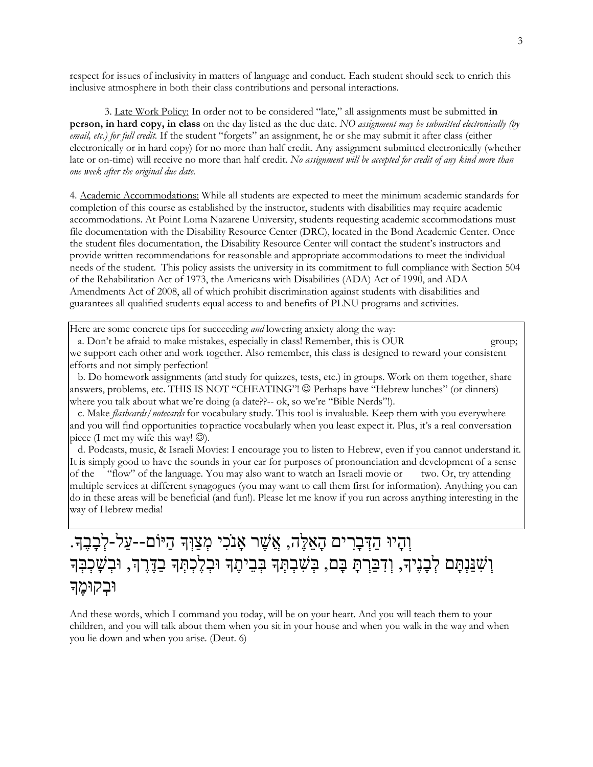respect for issues of inclusivity in matters of language and conduct. Each student should seek to enrich this inclusive atmosphere in both their class contributions and personal interactions.

3. Late Work Policy: In order not to be considered "late," all assignments must be submitted **in person, in hard copy, in class** on the day listed as the due date. *NO assignment may be submitted electronically (by email, etc.) for full credit.* If the student "forgets" an assignment, he or she may submit it after class (either electronically or in hard copy) for no more than half credit. Any assignment submitted electronically (whether late or on-time) will receive no more than half credit. *No assignment will be accepted for credit of any kind more than one week after the original due date.*

4. Academic Accommodations: While all students are expected to meet the minimum academic standards for completion of this course as established by the instructor, students with disabilities may require academic accommodations. At Point Loma Nazarene University, students requesting academic accommodations must file documentation with the Disability Resource Center (DRC), located in the Bond Academic Center. Once the student files documentation, the Disability Resource Center will contact the student's instructors and provide written recommendations for reasonable and appropriate accommodations to meet the individual needs of the student. This policy assists the university in its commitment to full compliance with Section 504 of the Rehabilitation Act of 1973, the Americans with Disabilities (ADA) Act of 1990, and ADA Amendments Act of 2008, all of which prohibit discrimination against students with disabilities and guarantees all qualified students equal access to and benefits of PLNU programs and activities.

Here are some concrete tips for succeeding *and* lowering anxiety along the way:

 a. Don't be afraid to make mistakes, especially in class! Remember, this is OUR group; we support each other and work together. Also remember, this class is designed to reward your consistent efforts and not simply perfection!

 b. Do homework assignments (and study for quizzes, tests, etc.) in groups. Work on them together, share answers, problems, etc. THIS IS NOT "CHEATING"! Perhaps have "Hebrew lunches" (or dinners) where you talk about what we're doing (a date??-- ok, so we're "Bible Nerds"!).

 c. Make *flashcards/notecards* for vocabulary study. This tool is invaluable. Keep them with you everywhere and you will find opportunities topractice vocabularly when you least expect it. Plus, it's a real conversation piece (I met my wife this way!  $\circledcirc$ ).

 d. Podcasts, music, & Israeli Movies: I encourage you to listen to Hebrew, even if you cannot understand it. It is simply good to have the sounds in your ear for purposes of pronounciation and development of a sense of the "flow" of the language. You may also want to watch an Israeli movie or two. Or, try attending multiple services at different synagogues (you may want to call them first for information). Anything you can do in these areas will be beneficial (and fun!). Please let me know if you run across anything interesting in the way of Hebrew media!

# וְהָיוּ הַדְּבָרִים הָאֵלֶּה, אֲשֶׁר אָנֹכִי מְצַוְּךָ הַיּוֹם--עַל-לְבָבֶךָ. וְשָׁנַּנְתָּם לְבָנֶיךָ, וְדִבַּרְתָּ בָּם, בְּשִׁבְתְּךָ בְּבֵיתֶךְ וּבְלֶכְתְּךָ בַדֶּרֶדְ, וּבְשָׁכְבְּךָ וּבִקוּמֵֽד

And these words, which I command you today, will be on your heart. And you will teach them to your children, and you will talk about them when you sit in your house and when you walk in the way and when you lie down and when you arise. (Deut. 6)